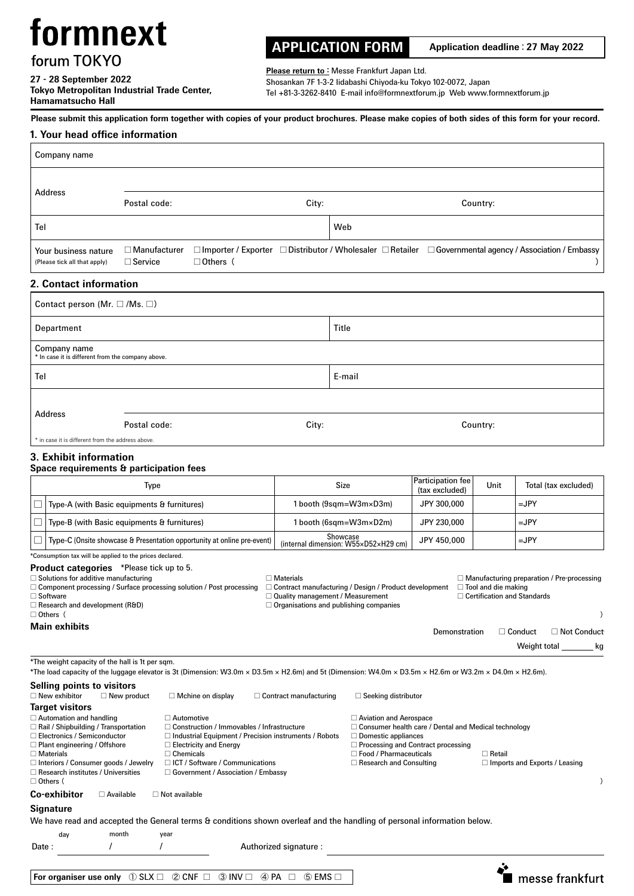# formnext

forum TOKYO

**27 - 28 September 2022 Tokyo Metropolitan Industrial Trade Center, Hamamatsucho Hall**

## **APPLICATION FORM Application deadline**:**27 May 2022**

Please return to : Messe Frankfurt Japan Ltd. Shosankan 7F 1-3-2 Iidabashi Chiyoda-ku Tokyo 102-0072, Japan Tel +81-3-3262-8410 E-mail info@formnextforum.jp Web www.formnextforum.jp

## **Please submit this application form together with copies of your product brochures. Please make copies of both sides of this form for your record.**

## **1. Your head office information**

| Company name                                                                                                                                                                                                                                                                                                                                                                                                                                                                                                                                                                                                                                                                                                               |                                       |                          |                 |                               |                                                                                                                                                                                                                                                                                                             |                               |      |                      |  |
|----------------------------------------------------------------------------------------------------------------------------------------------------------------------------------------------------------------------------------------------------------------------------------------------------------------------------------------------------------------------------------------------------------------------------------------------------------------------------------------------------------------------------------------------------------------------------------------------------------------------------------------------------------------------------------------------------------------------------|---------------------------------------|--------------------------|-----------------|-------------------------------|-------------------------------------------------------------------------------------------------------------------------------------------------------------------------------------------------------------------------------------------------------------------------------------------------------------|-------------------------------|------|----------------------|--|
|                                                                                                                                                                                                                                                                                                                                                                                                                                                                                                                                                                                                                                                                                                                            |                                       |                          |                 |                               |                                                                                                                                                                                                                                                                                                             |                               |      |                      |  |
| Address                                                                                                                                                                                                                                                                                                                                                                                                                                                                                                                                                                                                                                                                                                                    | Postal code:                          |                          |                 | City:                         | Country:                                                                                                                                                                                                                                                                                                    |                               |      |                      |  |
| Tel                                                                                                                                                                                                                                                                                                                                                                                                                                                                                                                                                                                                                                                                                                                        |                                       |                          |                 |                               | Web                                                                                                                                                                                                                                                                                                         |                               |      |                      |  |
| Your business nature<br>(Please tick all that apply)                                                                                                                                                                                                                                                                                                                                                                                                                                                                                                                                                                                                                                                                       | $\Box$ Manufacturer<br>$\Box$ Service |                          | $\Box$ Others ( |                               | □ Importer / Exporter □ Distributor / Wholesaler □ Retailer □ Governmental agency / Association / Embassy                                                                                                                                                                                                   |                               |      |                      |  |
| 2. Contact information                                                                                                                                                                                                                                                                                                                                                                                                                                                                                                                                                                                                                                                                                                     |                                       |                          |                 |                               |                                                                                                                                                                                                                                                                                                             |                               |      |                      |  |
| Contact person (Mr. $\square$ /Ms. $\square$ )                                                                                                                                                                                                                                                                                                                                                                                                                                                                                                                                                                                                                                                                             |                                       |                          |                 |                               |                                                                                                                                                                                                                                                                                                             |                               |      |                      |  |
| Department                                                                                                                                                                                                                                                                                                                                                                                                                                                                                                                                                                                                                                                                                                                 |                                       |                          |                 |                               | Title                                                                                                                                                                                                                                                                                                       |                               |      |                      |  |
| Company name<br>* In case it is different from the company above.                                                                                                                                                                                                                                                                                                                                                                                                                                                                                                                                                                                                                                                          |                                       |                          |                 |                               |                                                                                                                                                                                                                                                                                                             |                               |      |                      |  |
| Tel                                                                                                                                                                                                                                                                                                                                                                                                                                                                                                                                                                                                                                                                                                                        |                                       |                          |                 |                               | E-mail                                                                                                                                                                                                                                                                                                      |                               |      |                      |  |
|                                                                                                                                                                                                                                                                                                                                                                                                                                                                                                                                                                                                                                                                                                                            |                                       |                          |                 |                               |                                                                                                                                                                                                                                                                                                             |                               |      |                      |  |
| Address                                                                                                                                                                                                                                                                                                                                                                                                                                                                                                                                                                                                                                                                                                                    | Postal code:                          |                          |                 | City:                         |                                                                                                                                                                                                                                                                                                             | Country:                      |      |                      |  |
| * in case it is different from the address above.                                                                                                                                                                                                                                                                                                                                                                                                                                                                                                                                                                                                                                                                          |                                       |                          |                 |                               |                                                                                                                                                                                                                                                                                                             |                               |      |                      |  |
| 3. Exhibit information<br>Space requirements & participation fees                                                                                                                                                                                                                                                                                                                                                                                                                                                                                                                                                                                                                                                          |                                       |                          |                 |                               |                                                                                                                                                                                                                                                                                                             |                               |      |                      |  |
|                                                                                                                                                                                                                                                                                                                                                                                                                                                                                                                                                                                                                                                                                                                            | <b>Type</b>                           |                          |                 |                               | <b>Size</b>                                                                                                                                                                                                                                                                                                 |                               | Unit | Total (tax excluded) |  |
| Type-A (with Basic equipments & furnitures)<br>$\Box$                                                                                                                                                                                                                                                                                                                                                                                                                                                                                                                                                                                                                                                                      |                                       |                          |                 | 1 booth (9sqm=W3m×D3m)        |                                                                                                                                                                                                                                                                                                             | (tax excluded)<br>JPY 300,000 |      | $=$ JPY              |  |
| Type-B (with Basic equipments & furnitures)<br>⊔                                                                                                                                                                                                                                                                                                                                                                                                                                                                                                                                                                                                                                                                           |                                       |                          |                 | 1 booth (6sqm=W3m×D2m)        |                                                                                                                                                                                                                                                                                                             | JPY 230,000                   |      | $=$ JPY              |  |
| Type-C (Onsite showcase & Presentation opportunity at online pre-event)                                                                                                                                                                                                                                                                                                                                                                                                                                                                                                                                                                                                                                                    |                                       |                          |                 |                               | Showcase<br>(internal dimension: W55xD52xH29 cm)                                                                                                                                                                                                                                                            | JPY 450,000                   |      | $=$ JPY              |  |
| *Consumption tax will be applied to the prices declared.<br><b>Product categories</b> *Please tick up to 5.<br>$\Box$ Solutions for additive manufacturing<br>$\Box$ Materials<br>$\Box$ Manufacturing preparation / Pre-processing<br>$\Box$ Component processing / Surface processing solution / Post processing<br>$\Box$ Contract manufacturing / Design / Product development<br>$\Box$ Tool and die making<br>$\Box$ Software<br>$\Box$ Quality management / Measurement<br>$\Box$ Certification and Standards<br>$\Box$ Research and development (R&D)<br>$\Box$ Organisations and publishing companies<br>$\Box$ Others (<br>$\lambda$<br><b>Main exhibits</b><br>$\Box$ Conduct<br>□ Not Conduct<br>Demonstration |                                       |                          |                 |                               |                                                                                                                                                                                                                                                                                                             |                               |      |                      |  |
| *The weight capacity of the hall is 1t per sgm.                                                                                                                                                                                                                                                                                                                                                                                                                                                                                                                                                                                                                                                                            |                                       |                          |                 |                               |                                                                                                                                                                                                                                                                                                             |                               |      | Weight total<br>kg   |  |
| *The load capacity of the luggage elevator is 3t (Dimension: W3.0m × D3.5m × H2.6m) and 5t (Dimension: W4.0m × D3.5m × H2.6m or W3.2m × D4.0m × H2.6m).<br>Selling points to visitors<br>$\Box$ New exhibitor                                                                                                                                                                                                                                                                                                                                                                                                                                                                                                              | $\Box$ New product                    | $\Box$ Mchine on display |                 | $\Box$ Contract manufacturing | $\Box$ Seeking distributor                                                                                                                                                                                                                                                                                  |                               |      |                      |  |
| <b>Target visitors</b><br>$\Box$ Automation and handling<br>$\Box$ Automotive<br>$\Box$ Rail / Shipbuilding / Transportation<br>$\Box$ Construction / Immovables / Infrastructure<br>$\Box$ Industrial Equipment / Precision instruments / Robots<br>$\Box$ Electronics / Semiconductor<br>$\Box$ Plant engineering / Offshore<br>$\Box$ Electricity and Energy<br>$\Box$ Chemicals<br>$\Box$ Materials<br>□ ICT / Software / Communications<br>$\Box$ Interiors / Consumer goods / Jewelry<br>$\Box$ Research institutes / Universities<br>$\Box$ Government / Association / Embassy<br>$\Box$ Others (                                                                                                                   |                                       |                          |                 |                               | □ Aviation and Aerospace<br>$\Box$ Consumer health care / Dental and Medical technology<br>$\Box$ Domestic appliances<br>$\Box$ Processing and Contract processing<br>$\Box$ Food / Pharmaceuticals<br>$\Box$ Retail<br>$\Box$ Research and Consulting<br>$\Box$ Imports and Exports / Leasing<br>$\lambda$ |                               |      |                      |  |
| Co-exhibitor<br><b>Signature</b>                                                                                                                                                                                                                                                                                                                                                                                                                                                                                                                                                                                                                                                                                           | $\Box$ Available                      | $\Box$ Not available     |                 |                               |                                                                                                                                                                                                                                                                                                             |                               |      |                      |  |
| We have read and accepted the General terms & conditions shown overleaf and the handling of personal information below.                                                                                                                                                                                                                                                                                                                                                                                                                                                                                                                                                                                                    |                                       |                          |                 |                               |                                                                                                                                                                                                                                                                                                             |                               |      |                      |  |
| day<br>Date :                                                                                                                                                                                                                                                                                                                                                                                                                                                                                                                                                                                                                                                                                                              | month                                 | year                     |                 | Authorized signature :        |                                                                                                                                                                                                                                                                                                             |                               |      |                      |  |
|                                                                                                                                                                                                                                                                                                                                                                                                                                                                                                                                                                                                                                                                                                                            |                                       |                          |                 |                               |                                                                                                                                                                                                                                                                                                             |                               |      |                      |  |